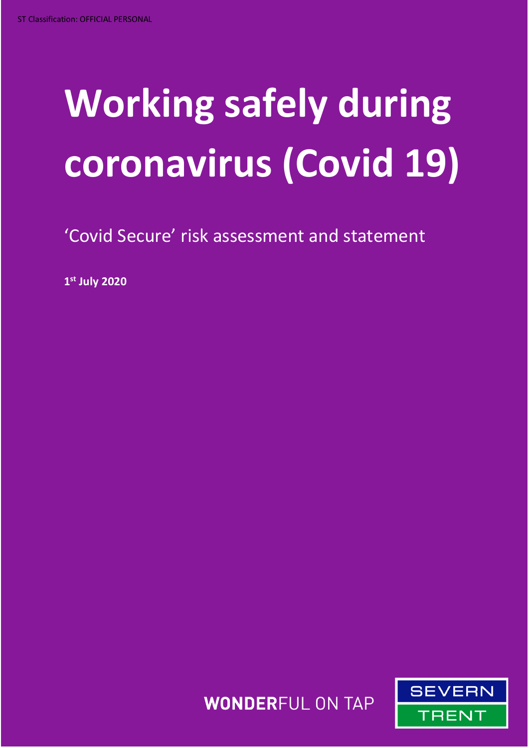# **Working safely during coronavirus (Covid 19)**

'Covid Secure' risk assessment and statement

**1 st July 2020**

**WONDERFUL ON TAP** 

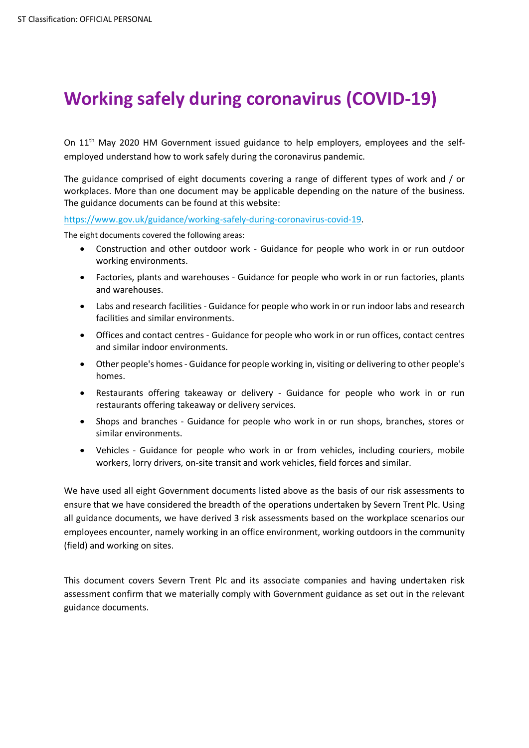## **Working safely during coronavirus (COVID-19)**

On 11<sup>th</sup> May 2020 HM Government issued guidance to help employers, employees and the selfemployed understand how to work safely during the coronavirus pandemic.

The guidance comprised of eight documents covering a range of different types of work and / or workplaces. More than one document may be applicable depending on the nature of the business. The guidance documents can be found at this website:

[https://www.gov.uk/guidance/working-safely-during-coronavirus-covid-19.](https://www.gov.uk/guidance/working-safely-during-coronavirus-covid-19)

The eight documents covered the following areas:

- Construction and other outdoor work [Guidance for people who work in or run outdoor](https://www.gov.uk/guidance/working-safely-during-coronavirus-covid-19/construction-and-other-outdoor-work)  [working environments.](https://www.gov.uk/guidance/working-safely-during-coronavirus-covid-19/construction-and-other-outdoor-work)
- Factories, plants and warehouses [Guidance for people who work in or run factories, plants](https://www.gov.uk/guidance/working-safely-during-coronavirus-covid-19/factories-plants-and-warehouses)  [and warehouses.](https://www.gov.uk/guidance/working-safely-during-coronavirus-covid-19/factories-plants-and-warehouses)
- Labs and research facilities [Guidance for people who work in or run indoor labs and research](https://www.gov.uk/guidance/working-safely-during-coronavirus-covid-19/labs-and-research-facilities)  [facilities and similar environments.](https://www.gov.uk/guidance/working-safely-during-coronavirus-covid-19/labs-and-research-facilities)
- Offices and contact centres [Guidance for people who work in or run offices, contact centres](https://www.gov.uk/guidance/working-safely-during-coronavirus-covid-19/offices-and-contact-centres)  [and similar indoor environments.](https://www.gov.uk/guidance/working-safely-during-coronavirus-covid-19/offices-and-contact-centres)
- Other people's homes [Guidance for people working in, visiting or delivering to other people's](https://www.gov.uk/guidance/working-safely-during-coronavirus-covid-19/homes)  [homes.](https://www.gov.uk/guidance/working-safely-during-coronavirus-covid-19/homes)
- [Restaurants offering takeaway or delivery -](https://www.gov.uk/guidance/working-safely-during-coronavirus-covid-19/restaurants-offering-takeaway-or-delivery) Guidance for people who work in or run [restaurants offering takeaway or delivery services.](https://www.gov.uk/guidance/working-safely-during-coronavirus-covid-19/restaurants-offering-takeaway-or-delivery)
- Shops and branches [Guidance for people who work in or run shops, branches, stores or](https://www.gov.uk/guidance/working-safely-during-coronavirus-covid-19/shops-and-branches)  [similar environments.](https://www.gov.uk/guidance/working-safely-during-coronavirus-covid-19/shops-and-branches)
- Vehicles [Guidance for people who work in or from vehicles, including couriers, mobile](https://www.gov.uk/guidance/working-safely-during-coronavirus-covid-19/vehicles)  [workers, lorry drivers, on-site transit and work vehicles, field forces and similar.](https://www.gov.uk/guidance/working-safely-during-coronavirus-covid-19/vehicles)

We have used all eight Government documents listed above as the basis of our risk assessments to ensure that we have considered the breadth of the operations undertaken by Severn Trent Plc. Using all guidance documents, we have derived 3 risk assessments based on the workplace scenarios our employees encounter, namely working in an office environment, working outdoors in the community (field) and working on sites.

This document covers Severn Trent Plc and its associate companies and having undertaken risk assessment confirm that we materially comply with Government guidance as set out in the relevant guidance documents.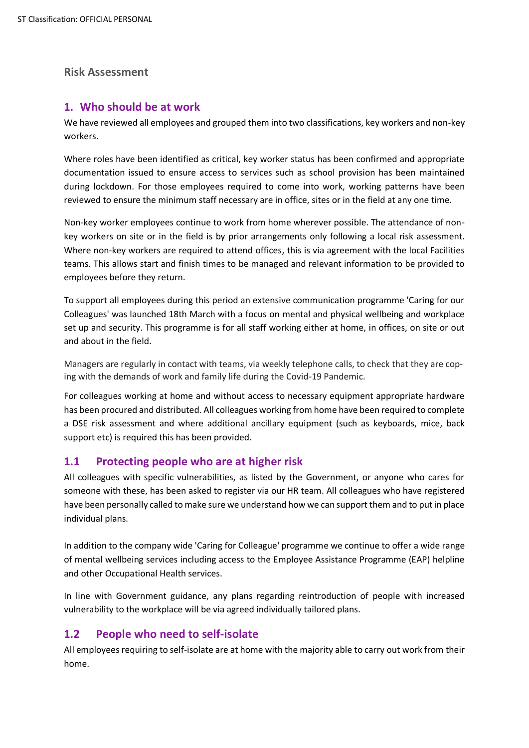#### **Risk Assessment**

#### **1. Who should be at work**

We have reviewed all employees and grouped them into two classifications, key workers and non-key workers.

Where roles have been identified as critical, key worker status has been confirmed and appropriate documentation issued to ensure access to services such as school provision has been maintained during lockdown. For those employees required to come into work, working patterns have been reviewed to ensure the minimum staff necessary are in office, sites or in the field at any one time.

Non-key worker employees continue to work from home wherever possible. The attendance of nonkey workers on site or in the field is by prior arrangements only following a local risk assessment. Where non-key workers are required to attend offices, this is via agreement with the local Facilities teams. This allows start and finish times to be managed and relevant information to be provided to employees before they return.

To support all employees during this period an extensive communication programme 'Caring for our Colleagues' was launched 18th March with a focus on mental and physical wellbeing and workplace set up and security. This programme is for all staff working either at home, in offices, on site or out and about in the field.

Managers are regularly in contact with teams, via weekly telephone calls, to check that they are coping with the demands of work and family life during the Covid-19 Pandemic.

For colleagues working at home and without access to necessary equipment appropriate hardware has been procured and distributed. All colleagues working from home have been required to complete a DSE risk assessment and where additional ancillary equipment (such as keyboards, mice, back support etc) is required this has been provided.

#### **1.1 Protecting people who are at higher risk**

All colleagues with specific vulnerabilities, as listed by the Government, or anyone who cares for someone with these, has been asked to register via our HR team. All colleagues who have registered have been personally called to make sure we understand how we can support them and to put in place individual plans.

In addition to the company wide 'Caring for Colleague' programme we continue to offer a wide range of mental wellbeing services including access to the Employee Assistance Programme (EAP) helpline and other Occupational Health services.

In line with Government guidance, any plans regarding reintroduction of people with increased vulnerability to the workplace will be via agreed individually tailored plans.

#### **1.2 People who need to self-isolate**

All employees requiring to self-isolate are at home with the majority able to carry out work from their home.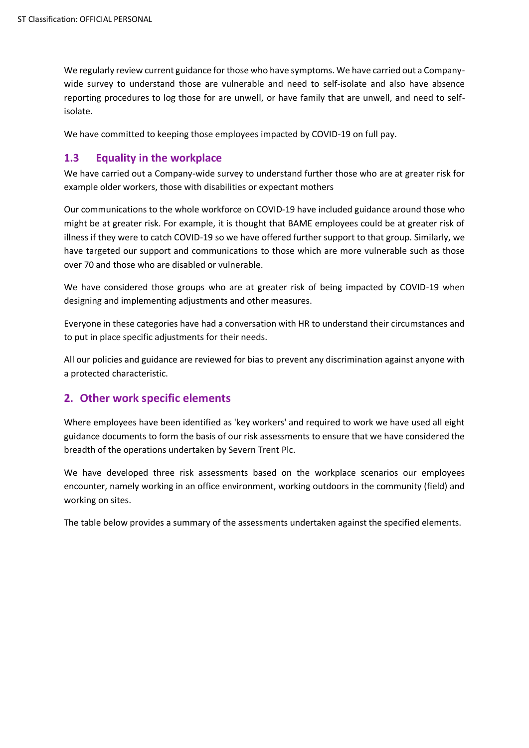We regularly review current guidance for those who have symptoms. We have carried out a Companywide survey to understand those are vulnerable and need to self-isolate and also have absence reporting procedures to log those for are unwell, or have family that are unwell, and need to selfisolate.

We have committed to keeping those employees impacted by COVID-19 on full pay.

#### **1.3 Equality in the workplace**

We have carried out a Company-wide survey to understand further those who are at greater risk for example older workers, those with disabilities or expectant mothers

Our communications to the whole workforce on COVID-19 have included guidance around those who might be at greater risk. For example, it is thought that BAME employees could be at greater risk of illness if they were to catch COVID-19 so we have offered further support to that group. Similarly, we have targeted our support and communications to those which are more vulnerable such as those over 70 and those who are disabled or vulnerable.

We have considered those groups who are at greater risk of being impacted by COVID-19 when designing and implementing adjustments and other measures.

Everyone in these categories have had a conversation with HR to understand their circumstances and to put in place specific adjustments for their needs.

All our policies and guidance are reviewed for bias to prevent any discrimination against anyone with a protected characteristic.

### **2. Other work specific elements**

Where employees have been identified as 'key workers' and required to work we have used all eight guidance documents to form the basis of our risk assessments to ensure that we have considered the breadth of the operations undertaken by Severn Trent Plc.

We have developed three risk assessments based on the workplace scenarios our employees encounter, namely working in an office environment, working outdoors in the community (field) and working on sites.

The table below provides a summary of the assessments undertaken against the specified elements.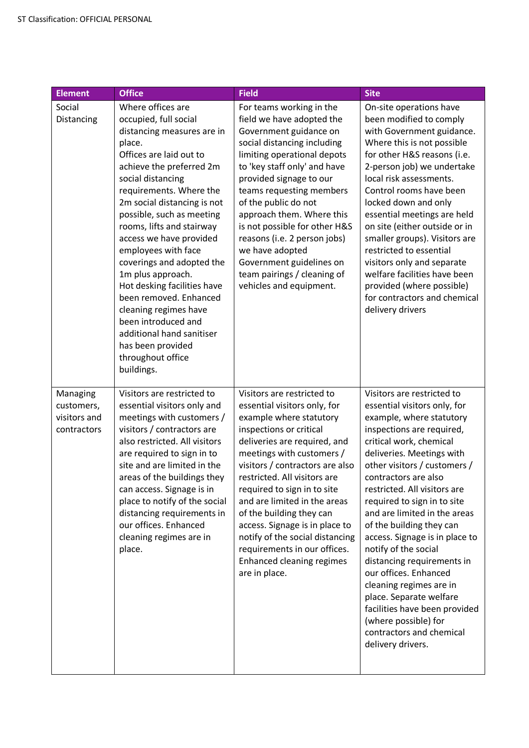| <b>Element</b>                                        | <b>Office</b>                                                                                                                                                                                                                                                                                                                                                                                                                                                                                                                                                                        | <b>Field</b>                                                                                                                                                                                                                                                                                                                                                                                                                                                                                          | <b>Site</b>                                                                                                                                                                                                                                                                                                                                                                                                                                                                                                                                                                                                                                     |
|-------------------------------------------------------|--------------------------------------------------------------------------------------------------------------------------------------------------------------------------------------------------------------------------------------------------------------------------------------------------------------------------------------------------------------------------------------------------------------------------------------------------------------------------------------------------------------------------------------------------------------------------------------|-------------------------------------------------------------------------------------------------------------------------------------------------------------------------------------------------------------------------------------------------------------------------------------------------------------------------------------------------------------------------------------------------------------------------------------------------------------------------------------------------------|-------------------------------------------------------------------------------------------------------------------------------------------------------------------------------------------------------------------------------------------------------------------------------------------------------------------------------------------------------------------------------------------------------------------------------------------------------------------------------------------------------------------------------------------------------------------------------------------------------------------------------------------------|
| Social<br>Distancing                                  | Where offices are<br>occupied, full social<br>distancing measures are in<br>place.<br>Offices are laid out to<br>achieve the preferred 2m<br>social distancing<br>requirements. Where the<br>2m social distancing is not<br>possible, such as meeting<br>rooms, lifts and stairway<br>access we have provided<br>employees with face<br>coverings and adopted the<br>1m plus approach.<br>Hot desking facilities have<br>been removed. Enhanced<br>cleaning regimes have<br>been introduced and<br>additional hand sanitiser<br>has been provided<br>throughout office<br>buildings. | For teams working in the<br>field we have adopted the<br>Government guidance on<br>social distancing including<br>limiting operational depots<br>to 'key staff only' and have<br>provided signage to our<br>teams requesting members<br>of the public do not<br>approach them. Where this<br>is not possible for other H&S<br>reasons (i.e. 2 person jobs)<br>we have adopted<br>Government guidelines on<br>team pairings / cleaning of<br>vehicles and equipment.                                   | On-site operations have<br>been modified to comply<br>with Government guidance.<br>Where this is not possible<br>for other H&S reasons (i.e.<br>2-person job) we undertake<br>local risk assessments.<br>Control rooms have been<br>locked down and only<br>essential meetings are held<br>on site (either outside or in<br>smaller groups). Visitors are<br>restricted to essential<br>visitors only and separate<br>welfare facilities have been<br>provided (where possible)<br>for contractors and chemical<br>delivery drivers                                                                                                             |
| Managing<br>customers,<br>visitors and<br>contractors | Visitors are restricted to<br>essential visitors only and<br>meetings with customers /<br>visitors / contractors are<br>also restricted. All visitors<br>are required to sign in to<br>site and are limited in the<br>areas of the buildings they<br>can access. Signage is in<br>place to notify of the social<br>distancing requirements in<br>our offices. Enhanced<br>cleaning regimes are in<br>place.                                                                                                                                                                          | Visitors are restricted to<br>essential visitors only, for<br>example where statutory<br>inspections or critical<br>deliveries are required, and<br>meetings with customers /<br>visitors / contractors are also<br>restricted. All visitors are<br>required to sign in to site<br>and are limited in the areas<br>of the building they can<br>access. Signage is in place to<br>notify of the social distancing<br>requirements in our offices.<br><b>Enhanced cleaning regimes</b><br>are in place. | Visitors are restricted to<br>essential visitors only, for<br>example, where statutory<br>inspections are required,<br>critical work, chemical<br>deliveries. Meetings with<br>other visitors / customers /<br>contractors are also<br>restricted. All visitors are<br>required to sign in to site<br>and are limited in the areas<br>of the building they can<br>access. Signage is in place to<br>notify of the social<br>distancing requirements in<br>our offices. Enhanced<br>cleaning regimes are in<br>place. Separate welfare<br>facilities have been provided<br>(where possible) for<br>contractors and chemical<br>delivery drivers. |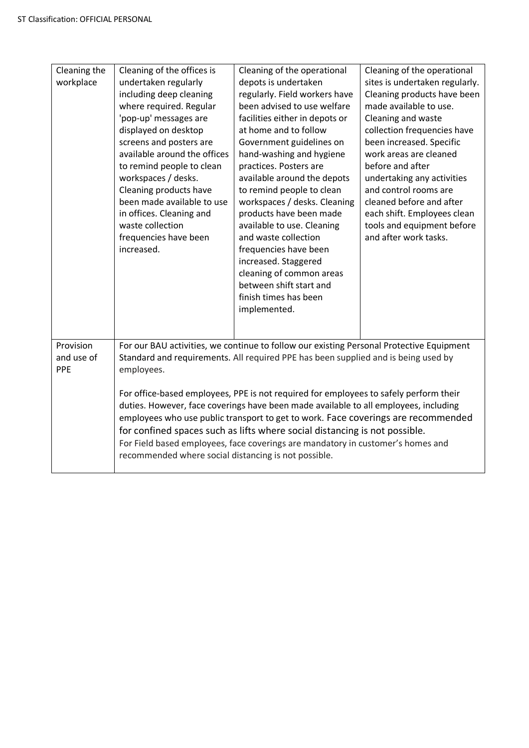| Cleaning the<br>workplace      | Cleaning of the offices is<br>undertaken regularly<br>including deep cleaning<br>where required. Regular<br>'pop-up' messages are<br>displayed on desktop<br>screens and posters are<br>available around the offices<br>to remind people to clean<br>workspaces / desks.<br>Cleaning products have<br>been made available to use<br>in offices. Cleaning and<br>waste collection<br>frequencies have been<br>increased.                                                                                                                                                                                                                                                                     | Cleaning of the operational<br>depots is undertaken<br>regularly. Field workers have<br>been advised to use welfare<br>facilities either in depots or<br>at home and to follow<br>Government guidelines on<br>hand-washing and hygiene<br>practices. Posters are<br>available around the depots<br>to remind people to clean<br>workspaces / desks. Cleaning<br>products have been made<br>available to use. Cleaning<br>and waste collection<br>frequencies have been<br>increased. Staggered<br>cleaning of common areas<br>between shift start and<br>finish times has been<br>implemented. | Cleaning of the operational<br>sites is undertaken regularly.<br>Cleaning products have been<br>made available to use.<br>Cleaning and waste<br>collection frequencies have<br>been increased. Specific<br>work areas are cleaned<br>before and after<br>undertaking any activities<br>and control rooms are<br>cleaned before and after<br>each shift. Employees clean<br>tools and equipment before<br>and after work tasks. |
|--------------------------------|---------------------------------------------------------------------------------------------------------------------------------------------------------------------------------------------------------------------------------------------------------------------------------------------------------------------------------------------------------------------------------------------------------------------------------------------------------------------------------------------------------------------------------------------------------------------------------------------------------------------------------------------------------------------------------------------|------------------------------------------------------------------------------------------------------------------------------------------------------------------------------------------------------------------------------------------------------------------------------------------------------------------------------------------------------------------------------------------------------------------------------------------------------------------------------------------------------------------------------------------------------------------------------------------------|--------------------------------------------------------------------------------------------------------------------------------------------------------------------------------------------------------------------------------------------------------------------------------------------------------------------------------------------------------------------------------------------------------------------------------|
| Provision<br>and use of<br>PPE | For our BAU activities, we continue to follow our existing Personal Protective Equipment<br>Standard and requirements. All required PPE has been supplied and is being used by<br>employees.<br>For office-based employees, PPE is not required for employees to safely perform their<br>duties. However, face coverings have been made available to all employees, including<br>employees who use public transport to get to work. Face coverings are recommended<br>for confined spaces such as lifts where social distancing is not possible.<br>For Field based employees, face coverings are mandatory in customer's homes and<br>recommended where social distancing is not possible. |                                                                                                                                                                                                                                                                                                                                                                                                                                                                                                                                                                                                |                                                                                                                                                                                                                                                                                                                                                                                                                                |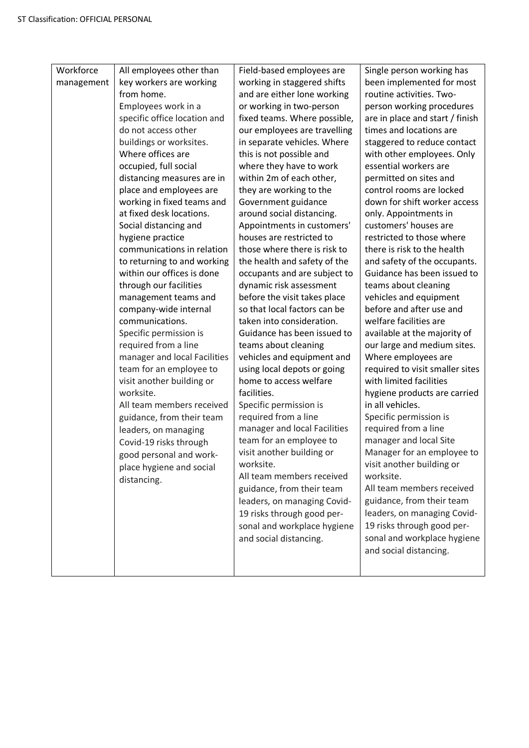| Workforce<br>management | All employees other than<br>key workers are working<br>from home.<br>Employees work in a<br>specific office location and<br>do not access other<br>buildings or worksites.<br>Where offices are<br>occupied, full social<br>distancing measures are in<br>place and employees are<br>working in fixed teams and<br>at fixed desk locations.<br>Social distancing and<br>hygiene practice<br>communications in relation<br>to returning to and working<br>within our offices is done<br>through our facilities<br>management teams and<br>company-wide internal<br>communications.<br>Specific permission is<br>required from a line<br>manager and local Facilities<br>team for an employee to<br>visit another building or<br>worksite.<br>All team members received<br>guidance, from their team<br>leaders, on managing<br>Covid-19 risks through<br>good personal and work-<br>place hygiene and social<br>distancing. | Field-based employees are<br>working in staggered shifts<br>and are either lone working<br>or working in two-person<br>fixed teams. Where possible,<br>our employees are travelling<br>in separate vehicles. Where<br>this is not possible and<br>where they have to work<br>within 2m of each other,<br>they are working to the<br>Government guidance<br>around social distancing.<br>Appointments in customers'<br>houses are restricted to<br>those where there is risk to<br>the health and safety of the<br>occupants and are subject to<br>dynamic risk assessment<br>before the visit takes place<br>so that local factors can be<br>taken into consideration.<br>Guidance has been issued to<br>teams about cleaning<br>vehicles and equipment and<br>using local depots or going<br>home to access welfare<br>facilities.<br>Specific permission is<br>required from a line<br>manager and local Facilities<br>team for an employee to<br>visit another building or<br>worksite.<br>All team members received<br>guidance, from their team<br>leaders, on managing Covid-<br>19 risks through good per-<br>sonal and workplace hygiene<br>and social distancing. | Single person working has<br>been implemented for most<br>routine activities. Two-<br>person working procedures<br>are in place and start / finish<br>times and locations are<br>staggered to reduce contact<br>with other employees. Only<br>essential workers are<br>permitted on sites and<br>control rooms are locked<br>down for shift worker access<br>only. Appointments in<br>customers' houses are<br>restricted to those where<br>there is risk to the health<br>and safety of the occupants.<br>Guidance has been issued to<br>teams about cleaning<br>vehicles and equipment<br>before and after use and<br>welfare facilities are<br>available at the majority of<br>our large and medium sites.<br>Where employees are<br>required to visit smaller sites<br>with limited facilities<br>hygiene products are carried<br>in all vehicles.<br>Specific permission is<br>required from a line<br>manager and local Site<br>Manager for an employee to<br>visit another building or<br>worksite.<br>All team members received<br>guidance, from their team<br>leaders, on managing Covid-<br>19 risks through good per-<br>sonal and workplace hygiene<br>and social distancing. |
|-------------------------|----------------------------------------------------------------------------------------------------------------------------------------------------------------------------------------------------------------------------------------------------------------------------------------------------------------------------------------------------------------------------------------------------------------------------------------------------------------------------------------------------------------------------------------------------------------------------------------------------------------------------------------------------------------------------------------------------------------------------------------------------------------------------------------------------------------------------------------------------------------------------------------------------------------------------|----------------------------------------------------------------------------------------------------------------------------------------------------------------------------------------------------------------------------------------------------------------------------------------------------------------------------------------------------------------------------------------------------------------------------------------------------------------------------------------------------------------------------------------------------------------------------------------------------------------------------------------------------------------------------------------------------------------------------------------------------------------------------------------------------------------------------------------------------------------------------------------------------------------------------------------------------------------------------------------------------------------------------------------------------------------------------------------------------------------------------------------------------------------------------|--------------------------------------------------------------------------------------------------------------------------------------------------------------------------------------------------------------------------------------------------------------------------------------------------------------------------------------------------------------------------------------------------------------------------------------------------------------------------------------------------------------------------------------------------------------------------------------------------------------------------------------------------------------------------------------------------------------------------------------------------------------------------------------------------------------------------------------------------------------------------------------------------------------------------------------------------------------------------------------------------------------------------------------------------------------------------------------------------------------------------------------------------------------------------------------------|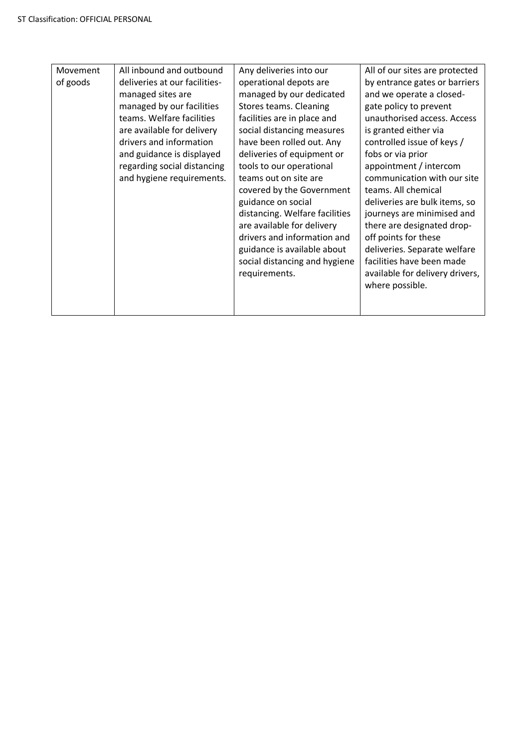| Movement<br>of goods | All inbound and outbound<br>deliveries at our facilities-<br>managed sites are<br>managed by our facilities<br>teams. Welfare facilities<br>are available for delivery<br>drivers and information<br>and guidance is displayed<br>regarding social distancing<br>and hygiene requirements. | Any deliveries into our<br>operational depots are<br>managed by our dedicated<br>Stores teams. Cleaning<br>facilities are in place and<br>social distancing measures<br>have been rolled out. Any<br>deliveries of equipment or<br>tools to our operational<br>teams out on site are<br>covered by the Government<br>guidance on social<br>distancing. Welfare facilities<br>are available for delivery<br>drivers and information and<br>guidance is available about<br>social distancing and hygiene<br>requirements. | All of our sites are protected<br>by entrance gates or barriers<br>and we operate a closed-<br>gate policy to prevent<br>unauthorised access. Access<br>is granted either via<br>controlled issue of keys /<br>fobs or via prior<br>appointment / intercom<br>communication with our site<br>teams. All chemical<br>deliveries are bulk items, so<br>journeys are minimised and<br>there are designated drop-<br>off points for these<br>deliveries. Separate welfare<br>facilities have been made<br>available for delivery drivers,<br>where possible. |
|----------------------|--------------------------------------------------------------------------------------------------------------------------------------------------------------------------------------------------------------------------------------------------------------------------------------------|-------------------------------------------------------------------------------------------------------------------------------------------------------------------------------------------------------------------------------------------------------------------------------------------------------------------------------------------------------------------------------------------------------------------------------------------------------------------------------------------------------------------------|----------------------------------------------------------------------------------------------------------------------------------------------------------------------------------------------------------------------------------------------------------------------------------------------------------------------------------------------------------------------------------------------------------------------------------------------------------------------------------------------------------------------------------------------------------|